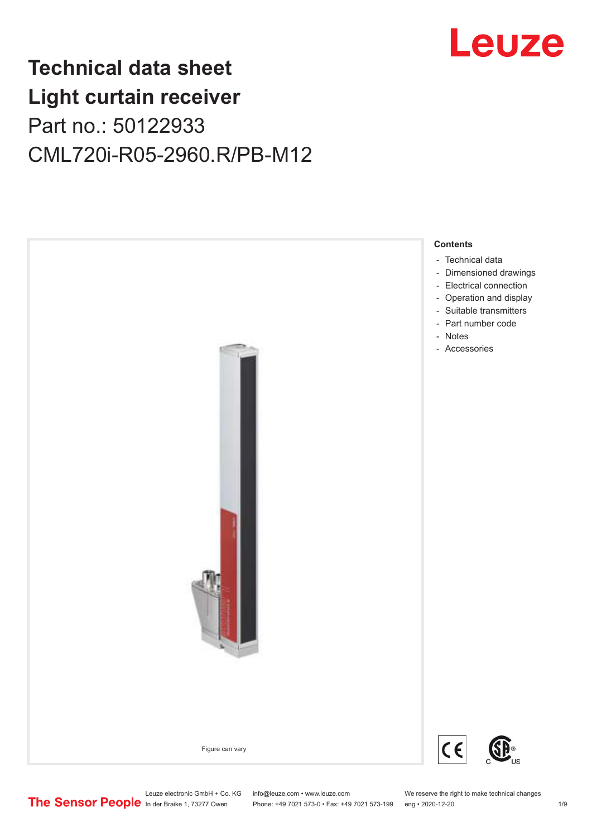

## **Technical data sheet Light curtain receiver** Part no.: 50122933 CML720i-R05-2960.R/PB-M12



Leuze electronic GmbH + Co. KG info@leuze.com • www.leuze.com We reserve the right to make technical changes<br>
The Sensor People in der Braike 1, 73277 Owen Phone: +49 7021 573-0 • Fax: +49 7021 573-199 eng • 2020-12-20

Phone: +49 7021 573-0 • Fax: +49 7021 573-199 eng • 2020-12-20 1 2020-12-20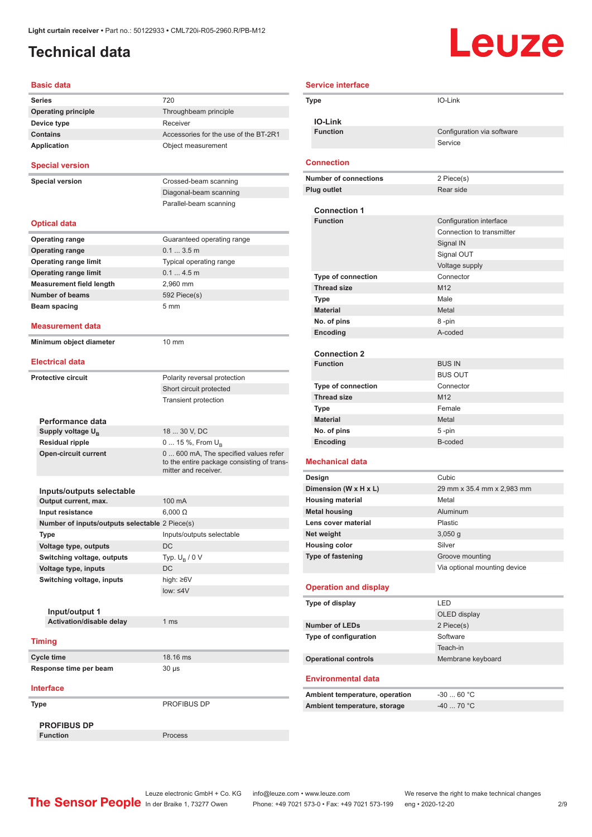### <span id="page-1-0"></span>**Technical data**

# **Leuze**

| Basic data                                     |                                                                                                            |
|------------------------------------------------|------------------------------------------------------------------------------------------------------------|
| <b>Series</b>                                  | 720                                                                                                        |
| <b>Operating principle</b>                     | Throughbeam principle                                                                                      |
| Device type                                    | Receiver                                                                                                   |
| <b>Contains</b>                                | Accessories for the use of the BT-2R1                                                                      |
| <b>Application</b>                             | Object measurement                                                                                         |
| <b>Special version</b>                         |                                                                                                            |
| <b>Special version</b>                         | Crossed-beam scanning                                                                                      |
|                                                | Diagonal-beam scanning                                                                                     |
|                                                | Parallel-beam scanning                                                                                     |
| <b>Optical data</b>                            |                                                                                                            |
| <b>Operating range</b>                         | Guaranteed operating range                                                                                 |
| <b>Operating range</b>                         | 0.13.5m                                                                                                    |
| <b>Operating range limit</b>                   | Typical operating range                                                                                    |
| <b>Operating range limit</b>                   | 0.14.5m                                                                                                    |
| <b>Measurement field length</b>                | 2,960 mm                                                                                                   |
| <b>Number of beams</b>                         | 592 Piece(s)                                                                                               |
| Beam spacing                                   | 5 mm                                                                                                       |
|                                                |                                                                                                            |
| Measurement data                               |                                                                                                            |
| Minimum object diameter                        | 10 mm                                                                                                      |
| <b>Electrical data</b>                         |                                                                                                            |
| <b>Protective circuit</b>                      | Polarity reversal protection                                                                               |
|                                                | Short circuit protected                                                                                    |
|                                                | <b>Transient protection</b>                                                                                |
|                                                |                                                                                                            |
| Performance data                               |                                                                                                            |
| Supply voltage U <sub>B</sub>                  | 18  30 V, DC                                                                                               |
| <b>Residual ripple</b>                         | 0  15 %, From $U_{\rm B}$                                                                                  |
| <b>Open-circuit current</b>                    | 0 600 mA, The specified values refer<br>to the entire package consisting of trans-<br>mitter and receiver. |
|                                                |                                                                                                            |
| Inputs/outputs selectable                      |                                                                                                            |
| Output current, max.                           | 100 mA                                                                                                     |
| Input resistance                               | $6.000 \Omega$                                                                                             |
| Number of inputs/outputs selectable 2 Piece(s) |                                                                                                            |
| Type                                           | Inputs/outputs selectable                                                                                  |
| Voltage type, outputs                          | DC                                                                                                         |
| Switching voltage, outputs                     | Typ. $U_R / 0 V$                                                                                           |
| Voltage type, inputs                           | DC                                                                                                         |
| Switching voltage, inputs                      | high: ≥6V                                                                                                  |
|                                                | $low: 4V$                                                                                                  |
|                                                |                                                                                                            |
| Input/output 1                                 | 1 <sub>ms</sub>                                                                                            |
| Activation/disable delay                       |                                                                                                            |
| <b>Timing</b>                                  |                                                                                                            |
| Cycle time                                     | 18.16 ms                                                                                                   |
| Response time per beam                         | 30 µs                                                                                                      |
| <b>Interface</b>                               |                                                                                                            |
| Type                                           | PROFIBUS DP                                                                                                |
|                                                |                                                                                                            |
| <b>PROFIBUS DP</b>                             |                                                                                                            |
| <b>Function</b>                                | Process                                                                                                    |

|                              | <b>Service interface</b>                  |                                                      |
|------------------------------|-------------------------------------------|------------------------------------------------------|
|                              | <b>Type</b>                               | IO-Link                                              |
|                              | <b>IO-Link</b>                            |                                                      |
|                              | <b>Function</b>                           | Configuration via software                           |
|                              |                                           | Service                                              |
|                              |                                           |                                                      |
|                              | Connection                                |                                                      |
| <b>Number of connections</b> |                                           | 2 Piece(s)                                           |
|                              | <b>Plug outlet</b>                        | Rear side                                            |
|                              |                                           |                                                      |
|                              | <b>Connection 1</b><br><b>Function</b>    |                                                      |
|                              |                                           | Configuration interface<br>Connection to transmitter |
|                              |                                           | Signal IN                                            |
|                              |                                           | Signal OUT                                           |
|                              |                                           | Voltage supply                                       |
|                              | Type of connection                        | Connector                                            |
|                              | <b>Thread size</b>                        | M <sub>12</sub>                                      |
|                              | Type                                      | Male                                                 |
|                              | <b>Material</b>                           | Metal                                                |
|                              | No. of pins                               | 8 -pin                                               |
|                              | Encoding                                  | A-coded                                              |
|                              |                                           |                                                      |
|                              | <b>Connection 2</b>                       |                                                      |
|                              | <b>Function</b>                           | <b>BUS IN</b>                                        |
|                              |                                           | <b>BUS OUT</b>                                       |
|                              | <b>Type of connection</b>                 | Connector                                            |
|                              | <b>Thread size</b>                        | M <sub>12</sub>                                      |
|                              | Type                                      | Female                                               |
|                              | <b>Material</b><br>No. of pins            | Metal<br>5-pin                                       |
|                              | Encoding                                  | B-coded                                              |
|                              |                                           |                                                      |
|                              | <b>Mechanical data</b>                    |                                                      |
|                              | Design                                    | Cubic                                                |
|                              | Dimension (W x H x L)                     | 29 mm x 35.4 mm x 2,983 mm                           |
|                              | <b>Housing material</b>                   | Metal                                                |
|                              | <b>Metal housing</b>                      | Aluminum                                             |
|                              | Lens cover material                       | Plastic                                              |
|                              | Net weight                                | $3,050$ g<br>Silver                                  |
|                              | <b>Housing color</b><br>Type of fastening | Groove mounting                                      |
|                              |                                           | Via optional mounting device                         |
|                              |                                           |                                                      |
|                              | <b>Operation and display</b>              |                                                      |
|                              | Type of display                           | LED                                                  |
|                              |                                           | OLED display                                         |
|                              | <b>Number of LEDs</b>                     | 2 Piece(s)                                           |
|                              | Type of configuration                     | Software                                             |
|                              |                                           | Teach-in                                             |
|                              | <b>Operational controls</b>               | Membrane keyboard                                    |
|                              | <b>Environmental data</b>                 |                                                      |
|                              | Ambient temperature, operation            | $-3060 °C$                                           |
|                              | Ambient temperature, storage              | -40  70 °C                                           |
|                              |                                           |                                                      |

Leuze electronic GmbH + Co. KG info@leuze.com • www.leuze.com We reserve the right to make technical changes ln der Braike 1, 73277 Owen Phone: +49 7021 573-0 • Fax: +49 7021 573-199 eng • 2020-12-20 2/9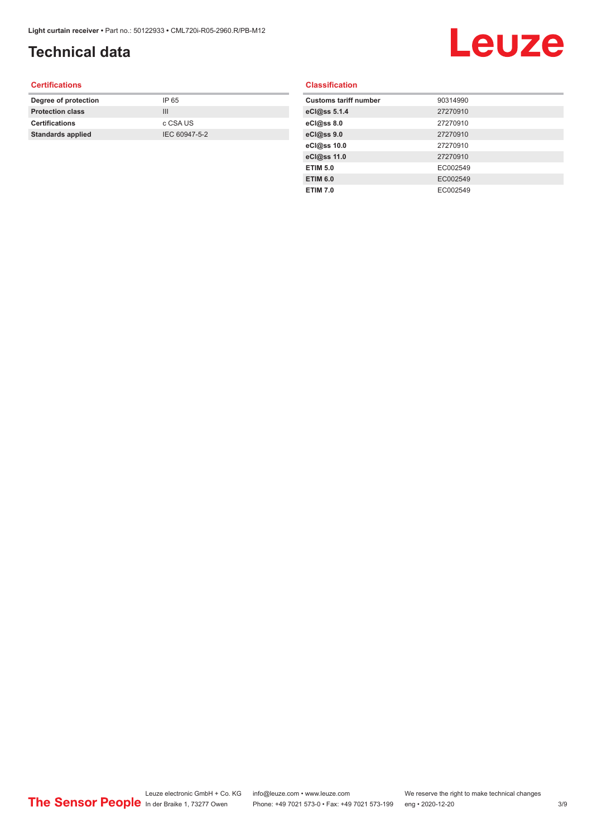## **Technical data**

## Leuze

#### **Certifications**

| Degree of protection     | IP 65         |
|--------------------------|---------------|
| <b>Protection class</b>  | Ш             |
| <b>Certifications</b>    | c CSA US      |
| <b>Standards applied</b> | IEC 60947-5-2 |
|                          |               |

#### **Classification**

| <b>Customs tariff number</b> | 90314990 |
|------------------------------|----------|
| eCl@ss 5.1.4                 | 27270910 |
| eCl@ss 8.0                   | 27270910 |
| eCl@ss 9.0                   | 27270910 |
| eCl@ss 10.0                  | 27270910 |
| eCl@ss 11.0                  | 27270910 |
| <b>ETIM 5.0</b>              | EC002549 |
| <b>ETIM 6.0</b>              | EC002549 |
| <b>ETIM 7.0</b>              | EC002549 |
|                              |          |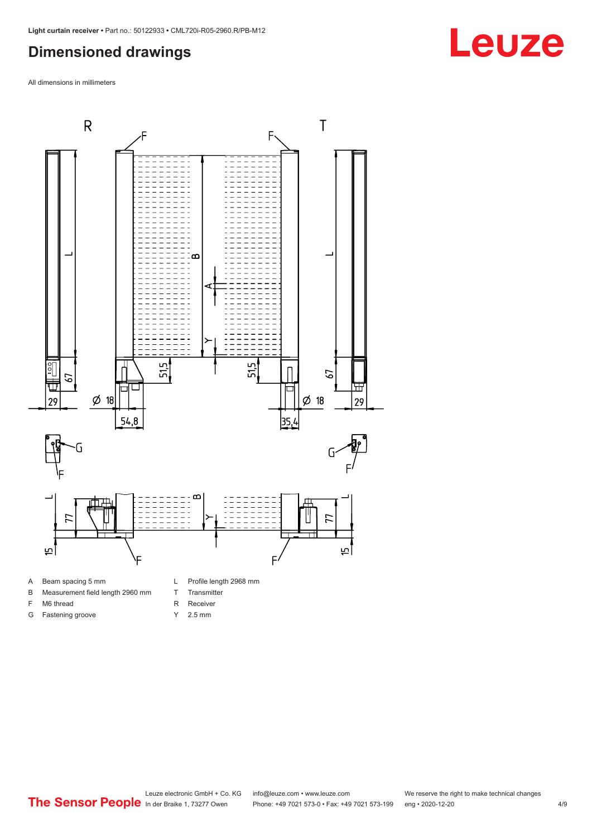#### <span id="page-3-0"></span>**Dimensioned drawings**

All dimensions in millimeters



A Beam spacing 5 mm

G Fastening groove

- B Measurement field length 2960 mm
- F M6 thread
- R Receiver
	- Y 2.5 mm

T Transmitter

**Leuze**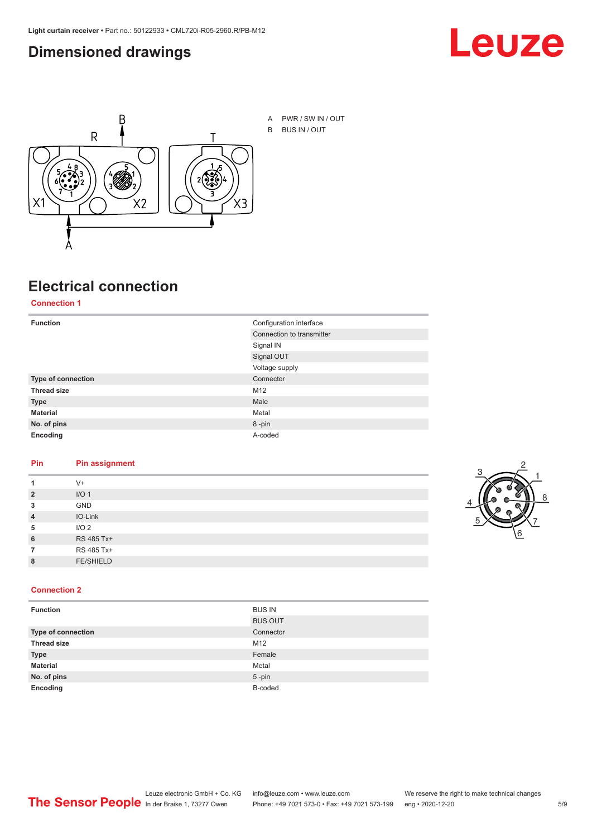#### <span id="page-4-0"></span>**Dimensioned drawings**





## **Electrical connection**

**Connection 1**

| <b>Function</b>    | Configuration interface   |
|--------------------|---------------------------|
|                    | Connection to transmitter |
|                    | Signal IN                 |
|                    | Signal OUT                |
|                    | Voltage supply            |
| Type of connection | Connector                 |
| <b>Thread size</b> | M12                       |
| <b>Type</b>        | Male                      |
| <b>Material</b>    | Metal                     |
| No. of pins        | 8-pin                     |
| Encoding           | A-coded                   |

#### **Pin Pin assignment**

| 1              | $V +$            |  |  |
|----------------|------------------|--|--|
| $\overline{2}$ | I/O <sub>1</sub> |  |  |
| 3              | <b>GND</b>       |  |  |
| $\overline{4}$ | IO-Link          |  |  |
| 5              | I/O <sub>2</sub> |  |  |
| 6              | RS 485 Tx+       |  |  |
| 7              | RS 485 Tx+       |  |  |
| 8              | <b>FE/SHIELD</b> |  |  |
|                |                  |  |  |



#### **Connection 2**

| <b>Function</b>    | <b>BUS IN</b>  |
|--------------------|----------------|
|                    | <b>BUS OUT</b> |
| Type of connection | Connector      |
| <b>Thread size</b> | M12            |
| <b>Type</b>        | Female         |
| <b>Material</b>    | Metal          |
| No. of pins        | $5$ -pin       |
| Encoding           | B-coded        |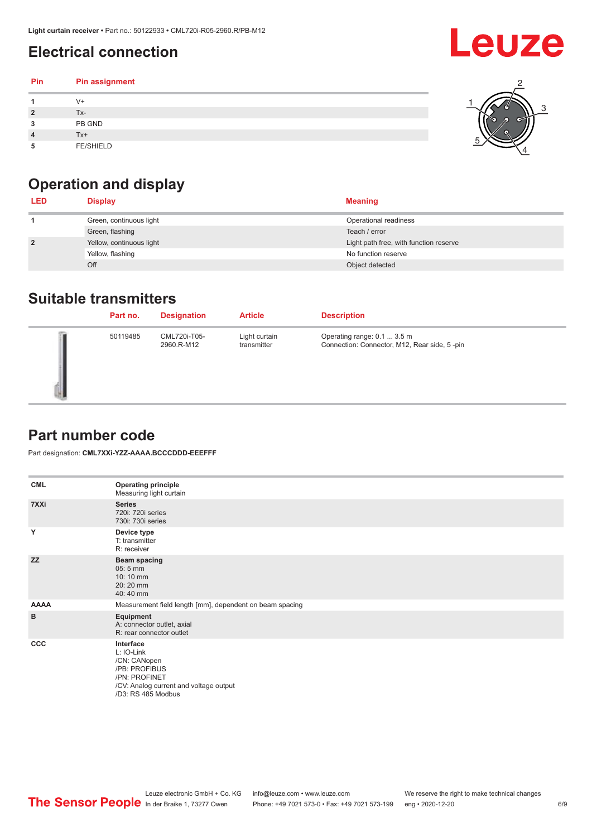## <span id="page-5-0"></span>**Electrical connection**

| Pin | Pin assignment   |   |
|-----|------------------|---|
|     | $V +$            | ⌒ |
|     | Tx-              |   |
| 3   | PB GND           |   |
|     | $Tx+$            |   |
| 5   | <b>FE/SHIELD</b> |   |

## **Operation and display**

| <b>LED</b>     | <b>Display</b>           | <b>Meaning</b>                         |
|----------------|--------------------------|----------------------------------------|
|                | Green, continuous light  | Operational readiness                  |
|                | Green, flashing          | Teach / error                          |
| $\overline{2}$ | Yellow, continuous light | Light path free, with function reserve |
|                | Yellow, flashing         | No function reserve                    |
|                | Off                      | Object detected                        |

#### **Suitable transmitters**

| Part no. | <b>Designation</b>         | <b>Article</b>               | <b>Description</b>                                                          |
|----------|----------------------------|------------------------------|-----------------------------------------------------------------------------|
| 50119485 | CML720i-T05-<br>2960.R-M12 | Light curtain<br>transmitter | Operating range: 0.1  3.5 m<br>Connection: Connector, M12, Rear side, 5-pin |

#### **Part number code**

Part designation: **CML7XXi-YZZ-AAAA.BCCCDDD-EEEFFF**

| <b>CML</b>  | <b>Operating principle</b><br>Measuring light curtain                                                                                     |
|-------------|-------------------------------------------------------------------------------------------------------------------------------------------|
| 7XXi        | <b>Series</b><br>720i: 720i series<br>730i: 730i series                                                                                   |
| Y           | Device type<br>T: transmitter<br>R: receiver                                                                                              |
| <b>ZZ</b>   | <b>Beam spacing</b><br>$05:5$ mm<br>10:10 mm<br>20:20 mm<br>40:40 mm                                                                      |
| <b>AAAA</b> | Measurement field length [mm], dependent on beam spacing                                                                                  |
| B           | Equipment<br>A: connector outlet, axial<br>R: rear connector outlet                                                                       |
| CCC         | Interface<br>L: IO-Link<br>/CN: CANopen<br>/PB: PROFIBUS<br>/PN: PROFINET<br>/CV: Analog current and voltage output<br>/D3: RS 485 Modbus |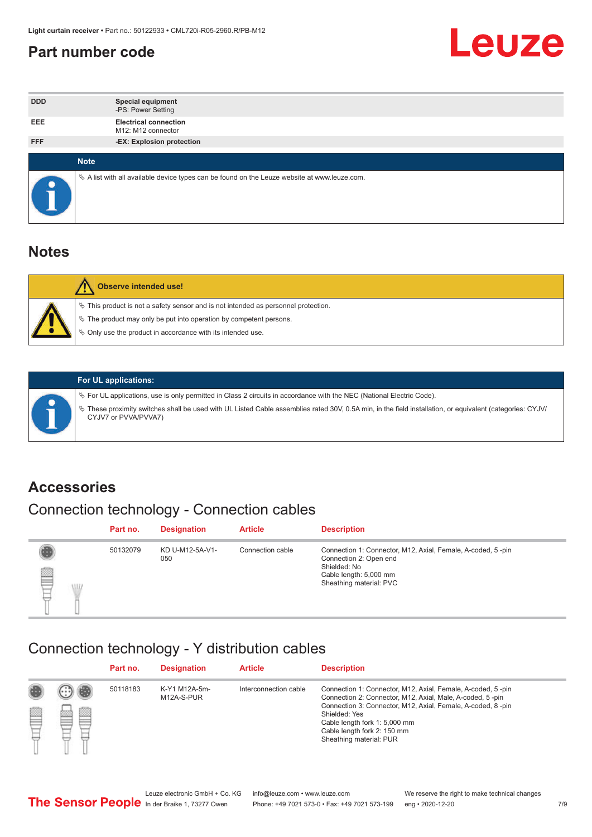#### <span id="page-6-0"></span>**Part number code**



| <b>DDD</b> | <b>Special equipment</b><br>-PS: Power Setting                                                  |
|------------|-------------------------------------------------------------------------------------------------|
| <b>EEE</b> | <b>Electrical connection</b><br>M12: M12 connector                                              |
| <b>FFF</b> | -EX: Explosion protection                                                                       |
|            | <b>Note</b>                                                                                     |
|            |                                                                                                 |
|            | $\&$ A list with all available device types can be found on the Leuze website at www.leuze.com. |

#### **Notes**

| Observe intended use!                                                                                                                                                                                                            |
|----------------------------------------------------------------------------------------------------------------------------------------------------------------------------------------------------------------------------------|
| $\%$ This product is not a safety sensor and is not intended as personnel protection.<br>$\%$ The product may only be put into operation by competent persons.<br>$\%$ Only use the product in accordance with its intended use. |
|                                                                                                                                                                                                                                  |



#### **For UL applications:**

ª For UL applications, use is only permitted in Class 2 circuits in accordance with the NEC (National Electric Code). ª These proximity switches shall be used with UL Listed Cable assemblies rated 30V, 0.5A min, in the field installation, or equivalent (categories: CYJV/ CYJV7 or PVVA/PVVA7)

#### **Accessories**

### Connection technology - Connection cables

|        | Part no. | <b>Designation</b>     | <b>Article</b>   | <b>Description</b>                                                                                                                                         |
|--------|----------|------------------------|------------------|------------------------------------------------------------------------------------------------------------------------------------------------------------|
| 2<br>W | 50132079 | KD U-M12-5A-V1-<br>050 | Connection cable | Connection 1: Connector, M12, Axial, Female, A-coded, 5-pin<br>Connection 2: Open end<br>Shielded: No<br>Cable length: 5,000 mm<br>Sheathing material: PVC |

#### Connection technology - Y distribution cables

|   |   | Part no. | <b>Designation</b>          | <b>Article</b>        | <b>Description</b>                                                                                                                                                                                                                                                                                  |
|---|---|----------|-----------------------------|-----------------------|-----------------------------------------------------------------------------------------------------------------------------------------------------------------------------------------------------------------------------------------------------------------------------------------------------|
| Ø | ø | 50118183 | K-Y1 M12A-5m-<br>M12A-S-PUR | Interconnection cable | Connection 1: Connector, M12, Axial, Female, A-coded, 5-pin<br>Connection 2: Connector, M12, Axial, Male, A-coded, 5-pin<br>Connection 3: Connector, M12, Axial, Female, A-coded, 8-pin<br>Shielded: Yes<br>Cable length fork 1: 5,000 mm<br>Cable length fork 2: 150 mm<br>Sheathing material: PUR |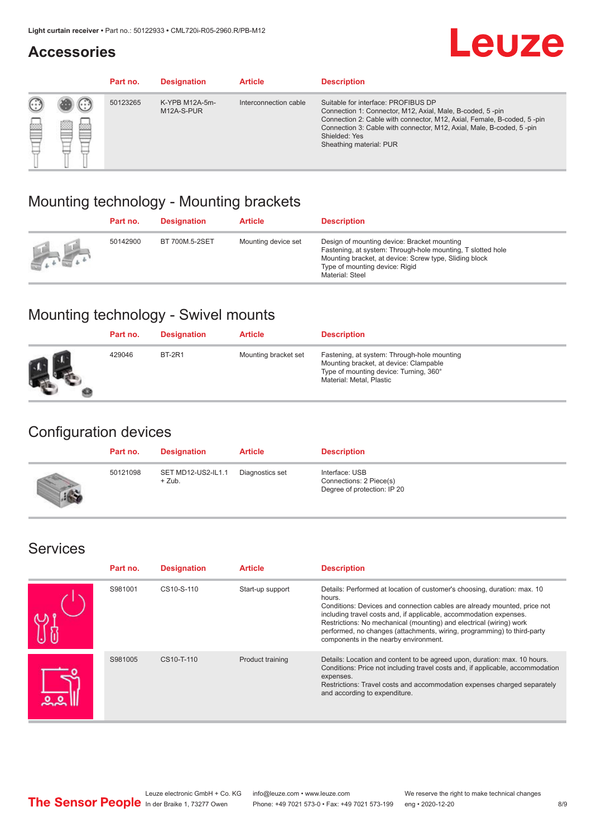#### **Accessories**

## **Leuze**

|     |          | Part no. | <b>Designation</b>           | <b>Article</b>        | <b>Description</b>                                                                                                                                                                                                                                                                             |
|-----|----------|----------|------------------------------|-----------------------|------------------------------------------------------------------------------------------------------------------------------------------------------------------------------------------------------------------------------------------------------------------------------------------------|
| 622 | ×<br>622 | 50123265 | K-YPB M12A-5m-<br>M12A-S-PUR | Interconnection cable | Suitable for interface: PROFIBUS DP<br>Connection 1: Connector, M12, Axial, Male, B-coded, 5-pin<br>Connection 2: Cable with connector, M12, Axial, Female, B-coded, 5-pin<br>Connection 3: Cable with connector, M12, Axial, Male, B-coded, 5-pin<br>Shielded: Yes<br>Sheathing material: PUR |

#### Mounting technology - Mounting brackets

|               | Part no. | <b>Designation</b> | <b>Article</b>      | <b>Description</b>                                                                                                                                                                                                        |
|---------------|----------|--------------------|---------------------|---------------------------------------------------------------------------------------------------------------------------------------------------------------------------------------------------------------------------|
| $\frac{1}{2}$ | 50142900 | BT 700M.5-2SET     | Mounting device set | Design of mounting device: Bracket mounting<br>Fastening, at system: Through-hole mounting, T slotted hole<br>Mounting bracket, at device: Screw type, Sliding block<br>Type of mounting device: Rigid<br>Material: Steel |

#### Mounting technology - Swivel mounts

| Part no. | <b>Designation</b> | <b>Article</b>       | <b>Description</b>                                                                                                                                          |
|----------|--------------------|----------------------|-------------------------------------------------------------------------------------------------------------------------------------------------------------|
| 429046   | <b>BT-2R1</b>      | Mounting bracket set | Fastening, at system: Through-hole mounting<br>Mounting bracket, at device: Clampable<br>Type of mounting device: Turning, 360°<br>Material: Metal, Plastic |

#### Configuration devices

| Part no. | <b>Designation</b>             | <b>Article</b>  | <b>Description</b>                                                       |
|----------|--------------------------------|-----------------|--------------------------------------------------------------------------|
| 50121098 | SET MD12-US2-IL1.1<br>$+$ Zub. | Diagnostics set | Interface: USB<br>Connections: 2 Piece(s)<br>Degree of protection: IP 20 |

#### Services

| Part no. | <b>Designation</b> | <b>Article</b>   | <b>Description</b>                                                                                                                                                                                                                                                                                                                                                                                                              |
|----------|--------------------|------------------|---------------------------------------------------------------------------------------------------------------------------------------------------------------------------------------------------------------------------------------------------------------------------------------------------------------------------------------------------------------------------------------------------------------------------------|
| S981001  | CS10-S-110         | Start-up support | Details: Performed at location of customer's choosing, duration: max. 10<br>hours.<br>Conditions: Devices and connection cables are already mounted, price not<br>including travel costs and, if applicable, accommodation expenses.<br>Restrictions: No mechanical (mounting) and electrical (wiring) work<br>performed, no changes (attachments, wiring, programming) to third-party<br>components in the nearby environment. |
| S981005  | CS10-T-110         | Product training | Details: Location and content to be agreed upon, duration: max. 10 hours.<br>Conditions: Price not including travel costs and, if applicable, accommodation<br>expenses.<br>Restrictions: Travel costs and accommodation expenses charged separately<br>and according to expenditure.                                                                                                                                           |